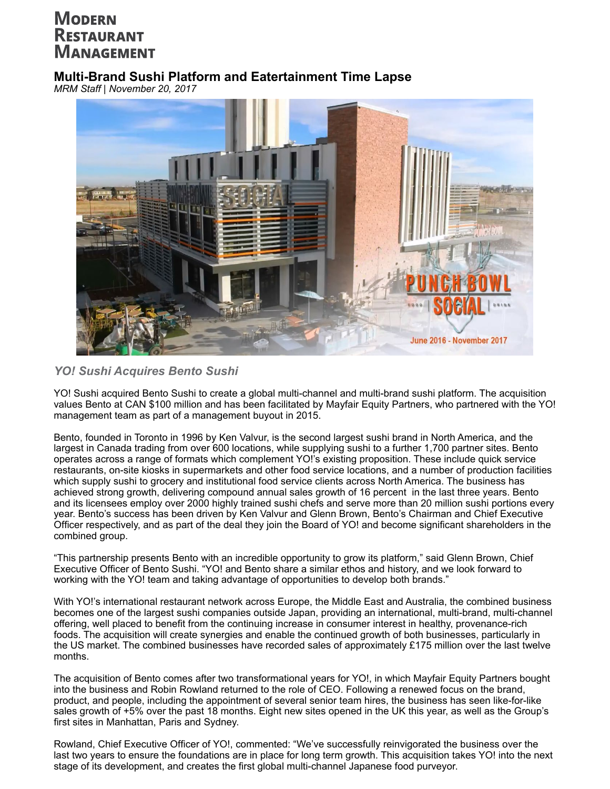# **MODERN** RESTAURANT Management

### **Multi-Brand Sushi Platform and Eatertainment Time Lapse**

*MRM Staff | November 20, 2017*



### *YO! Sushi Acquires Bento Sushi*

YO! Sushi acquired Bento Sushi to create a global multi-channel and multi-brand sushi platform. The acquisition values Bento at CAN \$100 million and has been facilitated by Mayfair Equity Partners, who partnered with the YO! management team as part of a management buyout in 2015.

Bento, founded in Toronto in 1996 by Ken Valvur, is the second largest sushi brand in North America, and the largest in Canada trading from over 600 locations, while supplying sushi to a further 1,700 partner sites. Bento operates across a range of formats which complement YO!'s existing proposition. These include quick service restaurants, on-site kiosks in supermarkets and other food service locations, and a number of production facilities which supply sushi to grocery and institutional food service clients across North America. The business has achieved strong growth, delivering compound annual sales growth of 16 percent in the last three years. Bento and its licensees employ over 2000 highly trained sushi chefs and serve more than 20 million sushi portions every year. Bento's success has been driven by Ken Valvur and Glenn Brown, Bento's Chairman and Chief Executive Officer respectively, and as part of the deal they join the Board of YO! and become significant shareholders in the combined group.

"This partnership presents Bento with an incredible opportunity to grow its platform," said Glenn Brown, Chief Executive Officer of Bento Sushi. "YO! and Bento share a similar ethos and history, and we look forward to working with the YO! team and taking advantage of opportunities to develop both brands."

With YO!'s international restaurant network across Europe, the Middle East and Australia, the combined business becomes one of the largest sushi companies outside Japan, providing an international, multi-brand, multi-channel offering, well placed to benefit from the continuing increase in consumer interest in healthy, provenance-rich foods. The acquisition will create synergies and enable the continued growth of both businesses, particularly in the US market. The combined businesses have recorded sales of approximately £175 million over the last twelve months.

The acquisition of Bento comes after two transformational years for YO!, in which Mayfair Equity Partners bought into the business and Robin Rowland returned to the role of CEO. Following a renewed focus on the brand, product, and people, including the appointment of several senior team hires, the business has seen like-for-like sales growth of +5% over the past 18 months. Eight new sites opened in the UK this year, as well as the Group's first sites in Manhattan, Paris and Sydney.

Rowland, Chief Executive Officer of YO!, commented: "We've successfully reinvigorated the business over the last two years to ensure the foundations are in place for long term growth. This acquisition takes YO! into the next stage of its development, and creates the first global multi-channel Japanese food purveyor.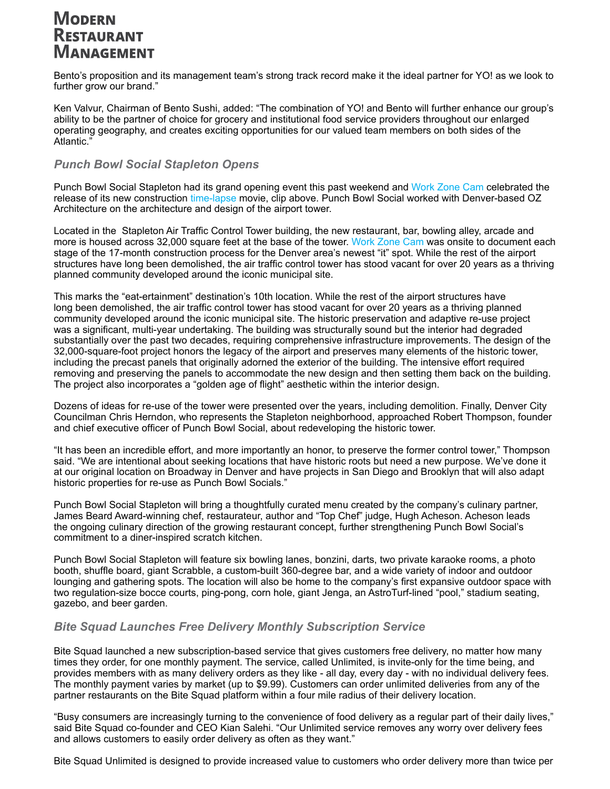## **MODERN RESTAURANT** Management

Bento's proposition and its management team's strong track record make it the ideal partner for YO! as we look to further grow our brand."

Ken Valvur, Chairman of Bento Sushi, added: "The combination of YO! and Bento will further enhance our group's ability to be the partner of choice for grocery and institutional food service providers throughout our enlarged operating geography, and creates exciting opportunities for our valued team members on both sides of the Atlantic."

#### *Punch Bowl Social Stapleton Opens*

Punch Bowl Social Stapleton had its grand opening event this past weekend and [Work Zone Cam](http://www.workzonecam.com) celebrated the release of its new construction [time-lapse](https://www.youtube.com/watch?v=2ttXFW2Dm-E) movie, clip above. Punch Bowl Social worked with Denver-based OZ Architecture on the architecture and design of the airport tower.

Located in the Stapleton Air Traffic Control Tower building, the new restaurant, bar, bowling alley, arcade and more is housed across 32,000 square feet at the base of the tower. [Work Zone Cam](http://www.workzonecam.com) was onsite to document each stage of the 17-month construction process for the Denver area's newest "it" spot. While the rest of the airport structures have long been demolished, the air traffic control tower has stood vacant for over 20 years as a thriving planned community developed around the iconic municipal site.

This marks the "eat-ertainment" destination's 10th location. While the rest of the airport structures have long been demolished, the air traffic control tower has stood vacant for over 20 years as a thriving planned community developed around the iconic municipal site. The historic preservation and adaptive re-use project was a significant, multi-year undertaking. The building was structurally sound but the interior had degraded substantially over the past two decades, requiring comprehensive infrastructure improvements. The design of the 32,000-square-foot project honors the legacy of the airport and preserves many elements of the historic tower, including the precast panels that originally adorned the exterior of the building. The intensive effort required removing and preserving the panels to accommodate the new design and then setting them back on the building. The project also incorporates a "golden age of flight" aesthetic within the interior design.

Dozens of ideas for re-use of the tower were presented over the years, including demolition. Finally, Denver City Councilman Chris Herndon, who represents the Stapleton neighborhood, approached Robert Thompson, founder and chief executive officer of Punch Bowl Social, about redeveloping the historic tower.

"It has been an incredible effort, and more importantly an honor, to preserve the former control tower," Thompson said. "We are intentional about seeking locations that have historic roots but need a new purpose. We've done it at our original location on Broadway in Denver and have projects in San Diego and Brooklyn that will also adapt historic properties for re-use as Punch Bowl Socials."

Punch Bowl Social Stapleton will bring a thoughtfully curated menu created by the company's culinary partner, James Beard Award-winning chef, restaurateur, author and "Top Chef" judge, Hugh Acheson. Acheson leads the ongoing culinary direction of the growing restaurant concept, further strengthening Punch Bowl Social's commitment to a diner-inspired scratch kitchen.

Punch Bowl Social Stapleton will feature six bowling lanes, bonzini, darts, two private karaoke rooms, a photo booth, shuffle board, giant Scrabble, a custom-built 360-degree bar, and a wide variety of indoor and outdoor lounging and gathering spots. The location will also be home to the company's first expansive outdoor space with two regulation-size bocce courts, ping-pong, corn hole, giant Jenga, an AstroTurf-lined "pool," stadium seating, gazebo, and beer garden.

#### *Bite Squad Launches Free Delivery Monthly Subscription Service*

Bite Squad launched a new subscription-based service that gives customers free delivery, no matter how many times they order, for one monthly payment. The service, called Unlimited, is invite-only for the time being, and provides members with as many delivery orders as they like - all day, every day - with no individual delivery fees. The monthly payment varies by market (up to \$9.99). Customers can order unlimited deliveries from any of the partner restaurants on the Bite Squad platform within a four mile radius of their delivery location.

"Busy consumers are increasingly turning to the convenience of food delivery as a regular part of their daily lives," said Bite Squad co-founder and CEO Kian Salehi. "Our Unlimited service removes any worry over delivery fees and allows customers to easily order delivery as often as they want."

Bite Squad Unlimited is designed to provide increased value to customers who order delivery more than twice per